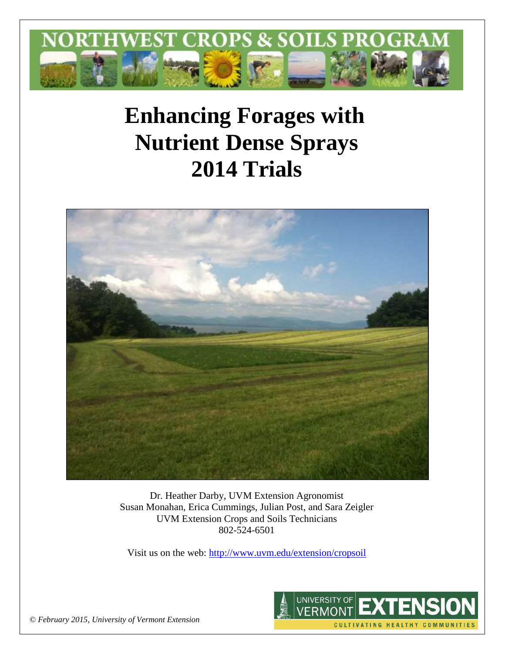

# **Enhancing Forages with Nutrient Dense Sprays 2014 Trials**



Dr. Heather Darby, UVM Extension Agronomist Susan Monahan, Erica Cummings, Julian Post, and Sara Zeigler UVM Extension Crops and Soils Technicians 802-524-6501

Visit us on the web: <http://www.uvm.edu/extension/cropsoil>

![](_page_0_Picture_5.jpeg)

© *February 2015, University of Vermont Extension*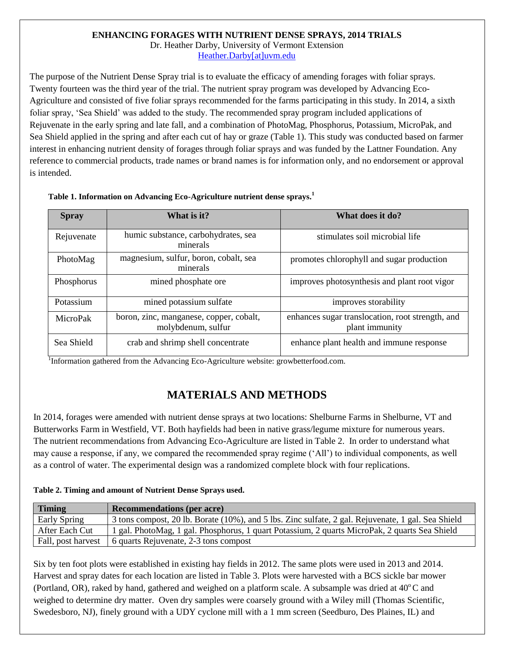## **ENHANCING FORAGES WITH NUTRIENT DENSE SPRAYS, 2014 TRIALS**

Dr. Heather Darby, University of Vermont Extension [Heather.Darby\[at\]uvm.edu](mailto:Heather.Darby@uvm.edu)

The purpose of the Nutrient Dense Spray trial is to evaluate the efficacy of amending forages with foliar sprays. Twenty fourteen was the third year of the trial. The nutrient spray program was developed by Advancing Eco-Agriculture and consisted of five foliar sprays recommended for the farms participating in this study. In 2014, a sixth foliar spray, 'Sea Shield' was added to the study. The recommended spray program included applications of Rejuvenate in the early spring and late fall, and a combination of PhotoMag, Phosphorus, Potassium, MicroPak, and Sea Shield applied in the spring and after each cut of hay or graze (Table 1). This study was conducted based on farmer interest in enhancing nutrient density of forages through foliar sprays and was funded by the Lattner Foundation. Any reference to commercial products, trade names or brand names is for information only, and no endorsement or approval is intended.

| <b>Spray</b> | What is it?                                                   | What does it do?                                                   |
|--------------|---------------------------------------------------------------|--------------------------------------------------------------------|
| Rejuvenate   | humic substance, carbohydrates, sea<br>minerals               | stimulates soil microbial life                                     |
| PhotoMag     | magnesium, sulfur, boron, cobalt, sea<br>minerals             | promotes chlorophyll and sugar production                          |
| Phosphorus   | mined phosphate ore                                           | improves photosynthesis and plant root vigor                       |
| Potassium    | mined potassium sulfate                                       | improves storability                                               |
| MicroPak     | boron, zinc, manganese, copper, cobalt,<br>molybdenum, sulfur | enhances sugar translocation, root strength, and<br>plant immunity |
| Sea Shield   | crab and shrimp shell concentrate                             | enhance plant health and immune response                           |

**Table 1. Information on Advancing Eco-Agriculture nutrient dense sprays.<sup>1</sup>**

<sup>1</sup>Information gathered from the Advancing Eco-Agriculture website: growbetterfood.com.

# **MATERIALS AND METHODS**

In 2014, forages were amended with nutrient dense sprays at two locations: Shelburne Farms in Shelburne, VT and Butterworks Farm in Westfield, VT. Both hayfields had been in native grass/legume mixture for numerous years. The nutrient recommendations from Advancing Eco-Agriculture are listed in Table 2. In order to understand what may cause a response, if any, we compared the recommended spray regime ('All') to individual components, as well as a control of water. The experimental design was a randomized complete block with four replications.

#### **Table 2. Timing and amount of Nutrient Dense Sprays used.**

| Timing             | <b>Recommendations (per acre)</b>                                                                  |
|--------------------|----------------------------------------------------------------------------------------------------|
| Early Spring       | 3 tons compost, 20 lb. Borate (10%), and 5 lbs. Zinc sulfate, 2 gal. Rejuvenate, 1 gal. Sea Shield |
| After Each Cut     | 1 gal. PhotoMag, 1 gal. Phosphorus, 1 quart Potassium, 2 quarts MicroPak, 2 quarts Sea Shield      |
| Fall, post harvest | 6 quarts Rejuvenate, 2-3 tons compost                                                              |

Six by ten foot plots were established in existing hay fields in 2012. The same plots were used in 2013 and 2014. Harvest and spray dates for each location are listed in Table 3. Plots were harvested with a BCS sickle bar mower (Portland, OR), raked by hand, gathered and weighed on a platform scale. A subsample was dried at  $40^{\circ}$ C and weighed to determine dry matter. Oven dry samples were coarsely ground with a Wiley mill (Thomas Scientific, Swedesboro, NJ), finely ground with a UDY cyclone mill with a 1 mm screen (Seedburo, Des Plaines, IL) and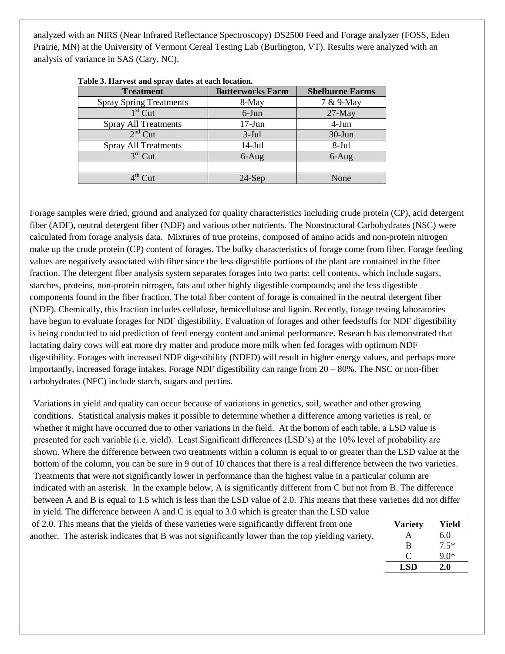analyzed with an NIRS (Near Infrared Reflectance Spectroscopy) DS2500 Feed and Forage analyzer (FOSS, Eden Prairie, MN) at the University of Vermont Cereal Testing Lab (Burlington, VT). Results were analyzed with an analysis of variance in SAS (Cary, NC).

| ruole of mai (col and optu) autos ut cuen loculioni |                         |                        |  |  |  |  |  |  |
|-----------------------------------------------------|-------------------------|------------------------|--|--|--|--|--|--|
| <b>Treatment</b>                                    | <b>Butterworks Farm</b> | <b>Shelburne Farms</b> |  |  |  |  |  |  |
| <b>Spray Spring Treatments</b>                      | 8-May                   | 7 & 9-May              |  |  |  |  |  |  |
| $1st$ Cut                                           | 6-Jun                   | $27$ -May              |  |  |  |  |  |  |
| <b>Spray All Treatments</b>                         | $17-Jun$                | $4-Jun$                |  |  |  |  |  |  |
| $2nd$ Cut                                           | $3-Jul$                 | $30$ -Jun              |  |  |  |  |  |  |
| <b>Spray All Treatments</b>                         | $14-Jul$                | 8-Jul                  |  |  |  |  |  |  |
| $3rd$ Cut                                           | $6-Aug$                 | $6-Aug$                |  |  |  |  |  |  |
|                                                     |                         |                        |  |  |  |  |  |  |
| $4^{\text{th}}$ Cut                                 | $24-Sep$                | None                   |  |  |  |  |  |  |

Forage samples were dried, ground and analyzed for quality characteristics including crude protein (CP), acid detergent fiber (ADF), neutral detergent fiber (NDF) and various other nutrients. The Nonstructural Carbohydrates (NSC) were calculated from forage analysis data. Mixtures of true proteins, composed of amino acids and non-protein nitrogen make up the crude protein (CP) content of forages. The bulky characteristics of forage come from fiber. Forage feeding values are negatively associated with fiber since the less digestible portions of the plant are contained in the fiber fraction. The detergent fiber analysis system separates forages into two parts: cell contents, which include sugars, starches, proteins, non-protein nitrogen, fats and other highly digestible compounds; and the less digestible components found in the fiber fraction. The total fiber content of forage is contained in the neutral detergent fiber (NDF). Chemically, this fraction includes cellulose, hemicellulose and lignin. Recently, forage testing laboratories have begun to evaluate forages for NDF digestibility. Evaluation of forages and other feedstuffs for NDF digestibility is being conducted to aid prediction of feed energy content and animal performance. Research has demonstrated that lactating dairy cows will eat more dry matter and produce more milk when fed forages with optimum NDF digestibility. Forages with increased NDF digestibility (NDFD) will result in higher energy values, and perhaps more importantly, increased forage intakes. Forage NDF digestibility can range from 20 – 80%. The NSC or non-fiber carbohydrates (NFC) include starch, sugars and pectins.

Variations in yield and quality can occur because of variations in genetics, soil, weather and other growing conditions. Statistical analysis makes it possible to determine whether a difference among varieties is real, or whether it might have occurred due to other variations in the field. At the bottom of each table, a LSD value is presented for each variable (i.e. yield). Least Significant differences (LSD's) at the 10% level of probability are shown. Where the difference between two treatments within a column is equal to or greater than the LSD value at the bottom of the column, you can be sure in 9 out of 10 chances that there is a real difference between the two varieties. Treatments that were not significantly lower in performance than the highest value in a particular column are indicated with an asterisk. In the example below, A is significantly different from C but not from B. The difference between A and B is equal to 1.5 which is less than the LSD value of 2.0. This means that these varieties did not differ in yield. The difference between A and C is equal to 3.0 which is greater than the LSD value

of 2.0. This means that the yields of these varieties were significantly different from one another. The asterisk indicates that B was not significantly lower than the top yielding variety.

| <b>Variety</b>            | Yield  |
|---------------------------|--------|
| A                         | 6.0    |
| B                         | $7.5*$ |
| $\mathbf{C}^{\mathsf{r}}$ | $9.0*$ |
| LSD                       | 2.0    |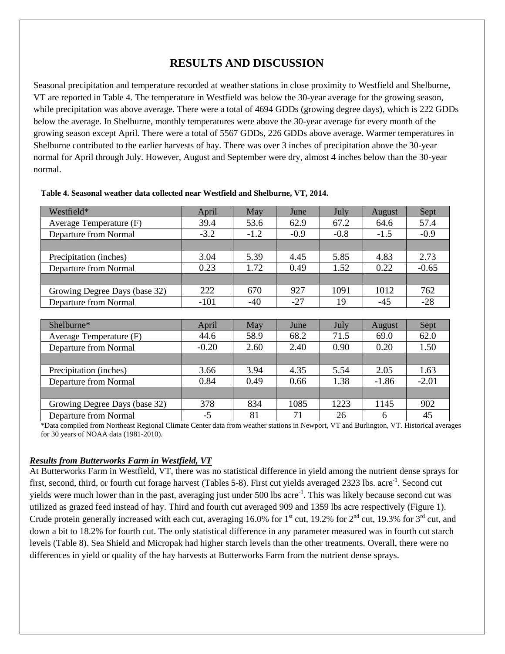## **RESULTS AND DISCUSSION**

Seasonal precipitation and temperature recorded at weather stations in close proximity to Westfield and Shelburne, VT are reported in Table 4. The temperature in Westfield was below the 30-year average for the growing season, while precipitation was above average. There were a total of 4694 GDDs (growing degree days), which is 222 GDDs below the average. In Shelburne, monthly temperatures were above the 30-year average for every month of the growing season except April. There were a total of 5567 GDDs, 226 GDDs above average. Warmer temperatures in Shelburne contributed to the earlier harvests of hay. There was over 3 inches of precipitation above the 30-year normal for April through July. However, August and September were dry, almost 4 inches below than the 30-year normal.

| Westfield*                    | April   | May    | June   | July   | August  | Sept    |
|-------------------------------|---------|--------|--------|--------|---------|---------|
| Average Temperature (F)       | 39.4    | 53.6   | 62.9   | 67.2   | 64.6    | 57.4    |
| Departure from Normal         | $-3.2$  | $-1.2$ | $-0.9$ | $-0.8$ | $-1.5$  | $-0.9$  |
|                               |         |        |        |        |         |         |
| Precipitation (inches)        | 3.04    | 5.39   | 4.45   | 5.85   | 4.83    | 2.73    |
| Departure from Normal         | 0.23    | 1.72   | 0.49   | 1.52   | 0.22    | $-0.65$ |
|                               |         |        |        |        |         |         |
| Growing Degree Days (base 32) | 222     | 670    | 927    | 1091   | 1012    | 762     |
| Departure from Normal         | $-101$  | $-40$  | $-27$  | 19     | $-45$   | $-28$   |
|                               |         |        |        |        |         |         |
| Shelburne*                    | April   | May    | June   | July   | August  | Sept    |
| Average Temperature (F)       | 44.6    | 58.9   | 68.2   | 71.5   | 69.0    | 62.0    |
| Departure from Normal         | $-0.20$ | 2.60   | 2.40   | 0.90   | 0.20    | 1.50    |
|                               |         |        |        |        |         |         |
| Precipitation (inches)        | 3.66    | 3.94   | 4.35   | 5.54   | 2.05    | 1.63    |
| Departure from Normal         | 0.84    | 0.49   | 0.66   | 1.38   | $-1.86$ | $-2.01$ |
|                               |         |        |        |        |         |         |
| Growing Degree Days (base 32) | 378     | 834    | 1085   | 1223   | 1145    | 902     |
| Departure from Normal         | $-5$    | 81     | 71     | 26     | 6       | 45      |

| Table 4. Seasonal weather data collected near Westfield and Shelburne, VT, 2014. |  |  |  |
|----------------------------------------------------------------------------------|--|--|--|
|                                                                                  |  |  |  |

\*Data compiled from Northeast Regional Climate Center data from weather stations in Newport, VT and Burlington, VT. Historical averages for 30 years of NOAA data (1981-2010).

#### *Results from Butterworks Farm in Westfield, VT*

At Butterworks Farm in Westfield, VT, there was no statistical difference in yield among the nutrient dense sprays for first, second, third, or fourth cut forage harvest (Tables 5-8). First cut yields averaged 2323 lbs. acre<sup>-1</sup>. Second cut yields were much lower than in the past, averaging just under 500 lbs acre<sup>-1</sup>. This was likely because second cut was utilized as grazed feed instead of hay. Third and fourth cut averaged 909 and 1359 lbs acre respectively (Figure 1). Crude protein generally increased with each cut, averaging 16.0% for 1<sup>st</sup> cut, 19.2% for  $2^{nd}$  cut, 19.3% for  $3^{rd}$  cut, and down a bit to 18.2% for fourth cut. The only statistical difference in any parameter measured was in fourth cut starch levels (Table 8). Sea Shield and Micropak had higher starch levels than the other treatments. Overall, there were no differences in yield or quality of the hay harvests at Butterworks Farm from the nutrient dense sprays.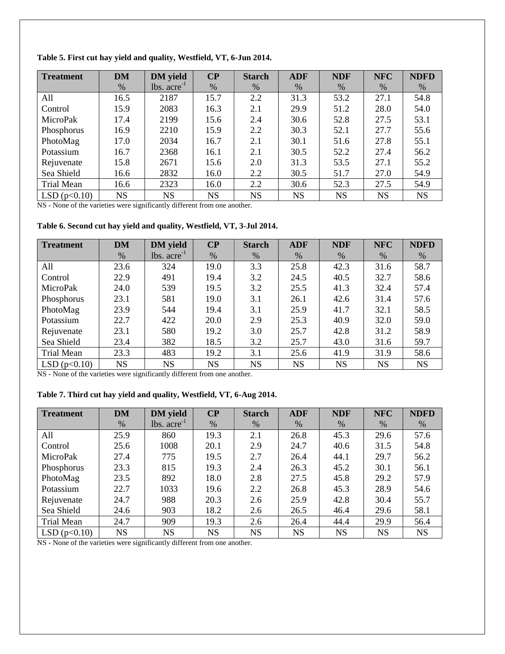| <b>Treatment</b> | <b>DM</b> | <b>DM</b> yield  | $\bf CP$  | <b>Starch</b> | <b>ADF</b> | <b>NDF</b> | <b>NFC</b> | <b>NDFD</b> |
|------------------|-----------|------------------|-----------|---------------|------------|------------|------------|-------------|
|                  | $\%$      | $lbs. acre^{-1}$ | %         | $\%$          | $\%$       | $\%$       | $\%$       | $\%$        |
| All              | 16.5      | 2187             | 15.7      | 2.2           | 31.3       | 53.2       | 27.1       | 54.8        |
| Control          | 15.9      | 2083             | 16.3      | 2.1           | 29.9       | 51.2       | 28.0       | 54.0        |
| MicroPak         | 17.4      | 2199             | 15.6      | 2.4           | 30.6       | 52.8       | 27.5       | 53.1        |
| Phosphorus       | 16.9      | 2210             | 15.9      | 2.2           | 30.3       | 52.1       | 27.7       | 55.6        |
| PhotoMag         | 17.0      | 2034             | 16.7      | 2.1           | 30.1       | 51.6       | 27.8       | 55.1        |
| Potassium        | 16.7      | 2368             | 16.1      | 2.1           | 30.5       | 52.2       | 27.4       | 56.2        |
| Rejuvenate       | 15.8      | 2671             | 15.6      | 2.0           | 31.3       | 53.5       | 27.1       | 55.2        |
| Sea Shield       | 16.6      | 2832             | 16.0      | 2.2           | 30.5       | 51.7       | 27.0       | 54.9        |
| Trial Mean       | 16.6      | 2323             | 16.0      | 2.2           | 30.6       | 52.3       | 27.5       | 54.9        |
| LSD $(p<0.10)$   | <b>NS</b> | <b>NS</b>        | <b>NS</b> | <b>NS</b>     | <b>NS</b>  | <b>NS</b>  | <b>NS</b>  | <b>NS</b>   |

**Table 5. First cut hay yield and quality, Westfield, VT, 6-Jun 2014.**

NS - None of the varieties were significantly different from one another.

**Table 6. Second cut hay yield and quality, Westfield, VT, 3-Jul 2014.**

| <b>Treatment</b> | <b>DM</b> | <b>DM</b> yield          | $\bf CP$  | <b>Starch</b> | <b>ADF</b> | <b>NDF</b> | <b>NFC</b> | <b>NDFD</b> |
|------------------|-----------|--------------------------|-----------|---------------|------------|------------|------------|-------------|
|                  | $\%$      | $lbs. \text{ acre}^{-1}$ | $\%$      | $\%$          | $\%$       | %          | $\%$       | %           |
| All              | 23.6      | 324                      | 19.0      | 3.3           | 25.8       | 42.3       | 31.6       | 58.7        |
| Control          | 22.9      | 491                      | 19.4      | 3.2           | 24.5       | 40.5       | 32.7       | 58.6        |
| MicroPak         | 24.0      | 539                      | 19.5      | 3.2           | 25.5       | 41.3       | 32.4       | 57.4        |
| Phosphorus       | 23.1      | 581                      | 19.0      | 3.1           | 26.1       | 42.6       | 31.4       | 57.6        |
| PhotoMag         | 23.9      | 544                      | 19.4      | 3.1           | 25.9       | 41.7       | 32.1       | 58.5        |
| Potassium        | 22.7      | 422                      | 20.0      | 2.9           | 25.3       | 40.9       | 32.0       | 59.0        |
| Rejuvenate       | 23.1      | 580                      | 19.2      | 3.0           | 25.7       | 42.8       | 31.2       | 58.9        |
| Sea Shield       | 23.4      | 382                      | 18.5      | 3.2           | 25.7       | 43.0       | 31.6       | 59.7        |
| Trial Mean       | 23.3      | 483                      | 19.2      | 3.1           | 25.6       | 41.9       | 31.9       | 58.6        |
| LSD(p<0.10)      | <b>NS</b> | <b>NS</b>                | <b>NS</b> | <b>NS</b>     | <b>NS</b>  | <b>NS</b>  | <b>NS</b>  | <b>NS</b>   |

NS - None of the varieties were significantly different from one another.

#### **Table 7. Third cut hay yield and quality, Westfield, VT, 6-Aug 2014.**

| <b>Treatment</b> | <b>DM</b> | <b>DM</b> yield          | $\bf CP$  | <b>Starch</b> | <b>ADF</b> | <b>NDF</b> | <b>NFC</b> | <b>NDFD</b> |
|------------------|-----------|--------------------------|-----------|---------------|------------|------------|------------|-------------|
|                  | %         | $lbs. \text{ acre}^{-1}$ | %         | %             | $\%$       | $\%$       | $\%$       | %           |
| All              | 25.9      | 860                      | 19.3      | 2.1           | 26.8       | 45.3       | 29.6       | 57.6        |
| Control          | 25.6      | 1008                     | 20.1      | 2.9           | 24.7       | 40.6       | 31.5       | 54.8        |
| MicroPak         | 27.4      | 775                      | 19.5      | 2.7           | 26.4       | 44.1       | 29.7       | 56.2        |
| Phosphorus       | 23.3      | 815                      | 19.3      | 2.4           | 26.3       | 45.2       | 30.1       | 56.1        |
| PhotoMag         | 23.5      | 892                      | 18.0      | 2.8           | 27.5       | 45.8       | 29.2       | 57.9        |
| Potassium        | 22.7      | 1033                     | 19.6      | 2.2           | 26.8       | 45.3       | 28.9       | 54.6        |
| Rejuvenate       | 24.7      | 988                      | 20.3      | 2.6           | 25.9       | 42.8       | 30.4       | 55.7        |
| Sea Shield       | 24.6      | 903                      | 18.2      | 2.6           | 26.5       | 46.4       | 29.6       | 58.1        |
| Trial Mean       | 24.7      | 909                      | 19.3      | 2.6           | 26.4       | 44.4       | 29.9       | 56.4        |
| LSD(p<0.10)      | <b>NS</b> | <b>NS</b>                | <b>NS</b> | <b>NS</b>     | <b>NS</b>  | <b>NS</b>  | <b>NS</b>  | <b>NS</b>   |

NS - None of the varieties were significantly different from one another.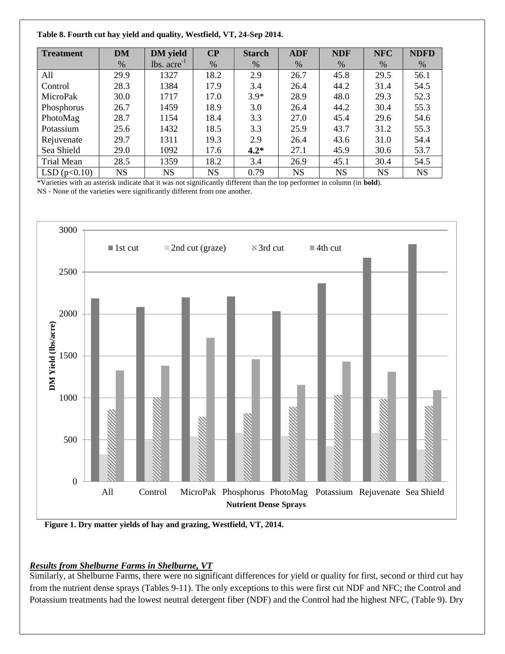#### **Table 8. Fourth cut hay yield and quality, Westfield, VT, 24-Sep 2014.**

| <b>Treatment</b> | <b>DM</b> | <b>DM</b> yield  | $\bf CP$  | <b>Starch</b> | <b>ADF</b> | <b>NDF</b> | <b>NFC</b> | <b>NDFD</b> |
|------------------|-----------|------------------|-----------|---------------|------------|------------|------------|-------------|
|                  | $\%$      | $lbs. acre^{-1}$ | %         | $\%$          | $\%$       | $\%$       | $\%$       | $\%$        |
| All              | 29.9      | 1327             | 18.2      | 2.9           | 26.7       | 45.8       | 29.5       | 56.1        |
| Control          | 28.3      | 1384             | 17.9      | 3.4           | 26.4       | 44.2       | 31.4       | 54.5        |
| MicroPak         | 30.0      | 1717             | 17.0      | $3.9*$        | 28.9       | 48.0       | 29.3       | 52.3        |
| Phosphorus       | 26.7      | 1459             | 18.9      | 3.0           | 26.4       | 44.2       | 30.4       | 55.3        |
| PhotoMag         | 28.7      | 1154             | 18.4      | 3.3           | 27.0       | 45.4       | 29.6       | 54.6        |
| Potassium        | 25.6      | 1432             | 18.5      | 3.3           | 25.9       | 43.7       | 31.2       | 55.3        |
| Rejuvenate       | 29.7      | 1311             | 19.3      | 2.9           | 26.4       | 43.6       | 31.0       | 54.4        |
| Sea Shield       | 29.0      | 1092             | 17.6      | $4.2*$        | 27.1       | 45.9       | 30.6       | 53.7        |
| Trial Mean       | 28.5      | 1359             | 18.2      | 3.4           | 26.9       | 45.1       | 30.4       | 54.5        |
| LSD(p<0.10)      | <b>NS</b> | <b>NS</b>        | <b>NS</b> | 0.79          | <b>NS</b>  | <b>NS</b>  | <b>NS</b>  | <b>NS</b>   |

\*Varieties with an asterisk indicate that it was not significantly different than the top performer in column (in **bold**).

NS - None of the varieties were significantly different from one another.

![](_page_5_Figure_4.jpeg)

**Figure 1. Dry matter yields of hay and grazing, Westfield, VT, 2014.**

### *Results from Shelburne Farms in Shelburne, VT*

Similarly, at Shelburne Farms, there were no significant differences for yield or quality for first, second or third cut hay from the nutrient dense sprays (Tables 9-11). The only exceptions to this were first cut NDF and NFC; the Control and Potassium treatments had the lowest neutral detergent fiber (NDF) and the Control had the highest NFC, (Table 9). Dry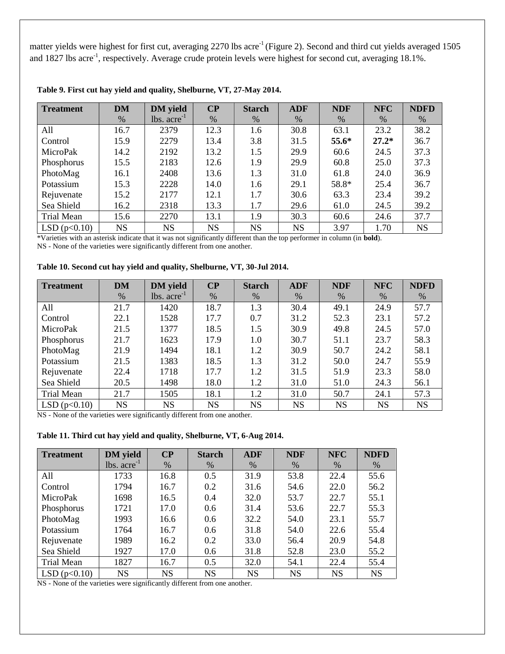matter yields were highest for first cut, averaging 2270 lbs acre<sup>-1</sup> (Figure 2). Second and third cut yields averaged 1505 and 1827 lbs acre<sup>-1</sup>, respectively. Average crude protein levels were highest for second cut, averaging 18.1%.

| <b>Treatment</b> | <b>DM</b> | <b>DM</b> yield  | $\bf CP$ | <b>Starch</b> | <b>ADF</b> | <b>NDF</b> | <b>NFC</b> | <b>NDFD</b> |
|------------------|-----------|------------------|----------|---------------|------------|------------|------------|-------------|
|                  | $\%$      | $lbs. acre^{-1}$ | %        | $\%$          | $\%$       | $\%$       | $\%$       | $\%$        |
| All              | 16.7      | 2379             | 12.3     | 1.6           | 30.8       | 63.1       | 23.2       | 38.2        |
| Control          | 15.9      | 2279             | 13.4     | 3.8           | 31.5       | $55.6*$    | $27.2*$    | 36.7        |
| MicroPak         | 14.2      | 2192             | 13.2     | 1.5           | 29.9       | 60.6       | 24.5       | 37.3        |
| Phosphorus       | 15.5      | 2183             | 12.6     | 1.9           | 29.9       | 60.8       | 25.0       | 37.3        |
| PhotoMag         | 16.1      | 2408             | 13.6     | 1.3           | 31.0       | 61.8       | 24.0       | 36.9        |
| Potassium        | 15.3      | 2228             | 14.0     | 1.6           | 29.1       | 58.8*      | 25.4       | 36.7        |
| Rejuvenate       | 15.2      | 2177             | 12.1     | 1.7           | 30.6       | 63.3       | 23.4       | 39.2        |
| Sea Shield       | 16.2      | 2318             | 13.3     | 1.7           | 29.6       | 61.0       | 24.5       | 39.2        |
| Trial Mean       | 15.6      | 2270             | 13.1     | 1.9           | 30.3       | 60.6       | 24.6       | 37.7        |
| LSD $(p<0.10)$   | <b>NS</b> | NS               | NS       | <b>NS</b>     | NS         | 3.97       | 1.70       | <b>NS</b>   |

**Table 9. First cut hay yield and quality, Shelburne, VT, 27-May 2014.**

\*Varieties with an asterisk indicate that it was not significantly different than the top performer in column (in **bold**).

NS - None of the varieties were significantly different from one another.

#### **Table 10. Second cut hay yield and quality, Shelburne, VT, 30-Jul 2014.**

| <b>Treatment</b> | <b>DM</b> | <b>DM</b> yield          | $\bf CP$  | <b>Starch</b> | <b>ADF</b> | <b>NDF</b> | <b>NFC</b> | <b>NDFD</b> |
|------------------|-----------|--------------------------|-----------|---------------|------------|------------|------------|-------------|
|                  | $\%$      | $lbs. \text{ acre}^{-1}$ | $\%$      | %             | $\%$       | $\%$       | $\%$       | $\%$        |
| All              | 21.7      | 1420                     | 18.7      | 1.3           | 30.4       | 49.1       | 24.9       | 57.7        |
| Control          | 22.1      | 1528                     | 17.7      | 0.7           | 31.2       | 52.3       | 23.1       | 57.2        |
| MicroPak         | 21.5      | 1377                     | 18.5      | 1.5           | 30.9       | 49.8       | 24.5       | 57.0        |
| Phosphorus       | 21.7      | 1623                     | 17.9      | 1.0           | 30.7       | 51.1       | 23.7       | 58.3        |
| PhotoMag         | 21.9      | 1494                     | 18.1      | 1.2           | 30.9       | 50.7       | 24.2       | 58.1        |
| Potassium        | 21.5      | 1383                     | 18.5      | 1.3           | 31.2       | 50.0       | 24.7       | 55.9        |
| Rejuvenate       | 22.4      | 1718                     | 17.7      | 1.2           | 31.5       | 51.9       | 23.3       | 58.0        |
| Sea Shield       | 20.5      | 1498                     | 18.0      | 1.2           | 31.0       | 51.0       | 24.3       | 56.1        |
| Trial Mean       | 21.7      | 1505                     | 18.1      | 1.2           | 31.0       | 50.7       | 24.1       | 57.3        |
| LSD $(p<0.10)$   | <b>NS</b> | <b>NS</b>                | <b>NS</b> | <b>NS</b>     | <b>NS</b>  | <b>NS</b>  | <b>NS</b>  | <b>NS</b>   |

NS - None of the varieties were significantly different from one another.

**Table 11. Third cut hay yield and quality, Shelburne, VT, 6-Aug 2014.**

| <b>Treatment</b> | <b>DM</b> yield          | $\bf CP$  | <b>Starch</b> | <b>ADF</b> | <b>NDF</b> | <b>NFC</b> | <b>NDFD</b> |
|------------------|--------------------------|-----------|---------------|------------|------------|------------|-------------|
|                  | $lbs. \text{ acre}^{-1}$ | %         | $\%$          | $\%$       | $\%$       | $\%$       | $\%$        |
| All              | 1733                     | 16.8      | 0.5           | 31.9       | 53.8       | 22.4       | 55.6        |
| Control          | 1794                     | 16.7      | 0.2           | 31.6       | 54.6       | 22.0       | 56.2        |
| MicroPak         | 1698                     | 16.5      | 0.4           | 32.0       | 53.7       | 22.7       | 55.1        |
| Phosphorus       | 1721                     | 17.0      | 0.6           | 31.4       | 53.6       | 22.7       | 55.3        |
| PhotoMag         | 1993                     | 16.6      | 0.6           | 32.2       | 54.0       | 23.1       | 55.7        |
| Potassium        | 1764                     | 16.7      | 0.6           | 31.8       | 54.0       | 22.6       | 55.4        |
| Rejuvenate       | 1989                     | 16.2      | 0.2           | 33.0       | 56.4       | 20.9       | 54.8        |
| Sea Shield       | 1927                     | 17.0      | 0.6           | 31.8       | 52.8       | 23.0       | 55.2        |
| Trial Mean       | 1827                     | 16.7      | 0.5           | 32.0       | 54.1       | 22.4       | 55.4        |
| LSD $(p<0.10)$   | <b>NS</b>                | <b>NS</b> | <b>NS</b>     | <b>NS</b>  | <b>NS</b>  | <b>NS</b>  | <b>NS</b>   |

NS - None of the varieties were significantly different from one another.